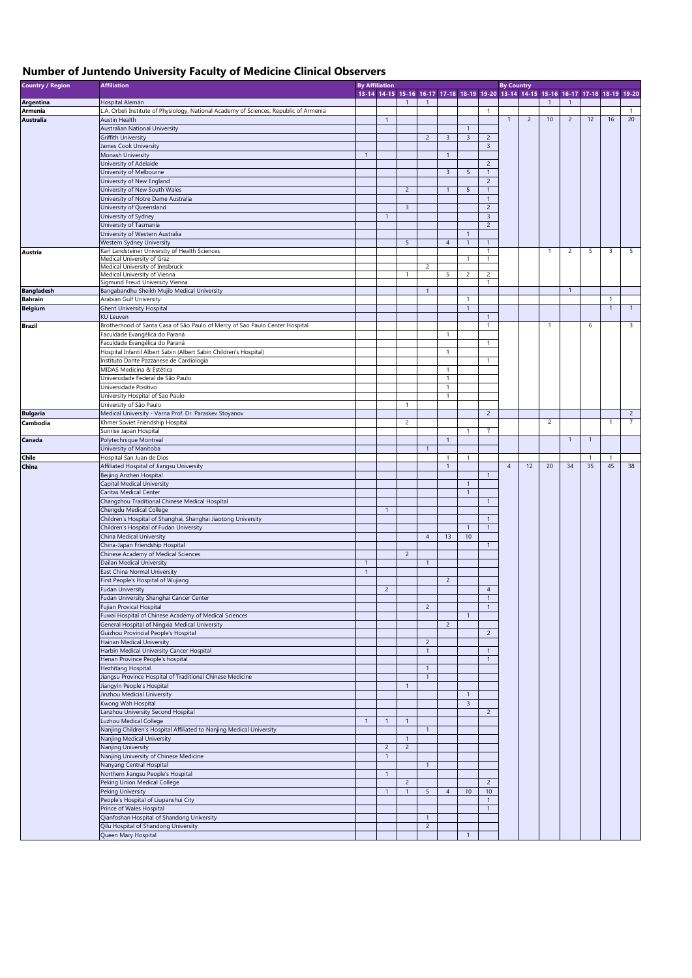## **Number of Juntendo University Faculty of Medicine Clinical Observers**

| <b>Country / Region</b> | <b>Affiliation</b>                                                                                      | <b>By Affiliation</b> |                |                         |                                |                |                |                                  | <b>By Country</b> |                |                |                |              |                                                                                     |                |  |  |
|-------------------------|---------------------------------------------------------------------------------------------------------|-----------------------|----------------|-------------------------|--------------------------------|----------------|----------------|----------------------------------|-------------------|----------------|----------------|----------------|--------------|-------------------------------------------------------------------------------------|----------------|--|--|
|                         |                                                                                                         |                       |                |                         |                                |                |                |                                  |                   |                |                |                |              | 13-14 14-15 15-16 16-17 17-18 18-19 19-20 13-14 14-15 15-16 16-17 17-18 18-19 19-20 |                |  |  |
| <b>Argentina</b>        | Hospital Alemán                                                                                         |                       |                | $\mathbf{1}$            | $\overline{1}$                 |                |                |                                  |                   |                | $\overline{1}$ | $\mathbf{1}$   |              |                                                                                     |                |  |  |
| <b>Armenia</b>          | L.A. Orbeli Institute of Physiology, National Academy of Sciences, Republic of Armenia                  |                       |                |                         |                                |                |                | $\mathbf{1}$                     |                   |                |                |                |              |                                                                                     | $\mathbf{1}$   |  |  |
| <b>Australia</b>        | Austin Health                                                                                           |                       | $\mathbf{1}$   |                         |                                |                |                |                                  | $\mathbf{1}$      | $\overline{2}$ | 10             | $\overline{2}$ | 12           | 16                                                                                  | 20             |  |  |
|                         | <b>Australian National University</b>                                                                   |                       |                |                         |                                |                | $\mathbf{1}$   |                                  |                   |                |                |                |              |                                                                                     |                |  |  |
|                         | <b>Griffith University</b>                                                                              |                       |                |                         | $\overline{2}$                 | 3              | $\overline{3}$ | $\overline{c}$<br>$\overline{3}$ |                   |                |                |                |              |                                                                                     |                |  |  |
|                         | James Cook University<br>Monash University                                                              | $\overline{1}$        |                |                         |                                | $\overline{1}$ |                |                                  |                   |                |                |                |              |                                                                                     |                |  |  |
|                         | University of Adelaide                                                                                  |                       |                |                         |                                |                |                | $\overline{2}$                   |                   |                |                |                |              |                                                                                     |                |  |  |
|                         | University of Melbourne                                                                                 |                       |                |                         |                                | $\overline{3}$ | 5              | $\mathbf{1}$                     |                   |                |                |                |              |                                                                                     |                |  |  |
|                         | University of New England                                                                               |                       |                |                         |                                |                |                | $\overline{c}$                   |                   |                |                |                |              |                                                                                     |                |  |  |
|                         | University of New South Wales                                                                           |                       |                | $\overline{2}$          |                                | $\overline{1}$ | 5              | $\overline{1}$                   |                   |                |                |                |              |                                                                                     |                |  |  |
|                         | University of Notre Dame Australia                                                                      |                       |                |                         |                                |                |                | $\mathbf{1}$                     |                   |                |                |                |              |                                                                                     |                |  |  |
|                         | University of Queensland                                                                                |                       |                | $\overline{\mathbf{3}}$ |                                |                |                | $\overline{c}$                   |                   |                |                |                |              |                                                                                     |                |  |  |
|                         | University of Sydney                                                                                    |                       | $\mathbf{1}$   |                         |                                |                |                | $\overline{3}$                   |                   |                |                |                |              |                                                                                     |                |  |  |
|                         | University of Tasmania                                                                                  |                       |                |                         |                                |                |                | $\sqrt{2}$                       |                   |                |                |                |              |                                                                                     |                |  |  |
|                         | University of Western Australia                                                                         |                       |                |                         |                                |                | $\mathbf{1}$   |                                  |                   |                |                |                |              |                                                                                     |                |  |  |
|                         | Western Sydney University                                                                               |                       |                | $5\phantom{.0}$         |                                | $\overline{4}$ | $\mathbf{1}$   | $\mathbf{1}$                     |                   |                |                |                |              |                                                                                     |                |  |  |
| Austria                 | Karl Landsteiner University of Health Sciences                                                          |                       |                |                         |                                |                |                | 1                                |                   |                | $\overline{1}$ | $\overline{c}$ | 5            | 3                                                                                   | 5              |  |  |
|                         | Medical University of Graz<br>Medical University of Innsbruck                                           |                       |                |                         | 2                              |                | 1              | 1                                |                   |                |                |                |              |                                                                                     |                |  |  |
|                         | Medical University of Vienna                                                                            |                       |                | $\overline{1}$          |                                | 5              | $\overline{c}$ | $\overline{c}$                   |                   |                |                |                |              |                                                                                     |                |  |  |
|                         | Sigmund Freud University Vienna                                                                         |                       |                |                         |                                |                |                | $\mathbf{1}$                     |                   |                |                |                |              |                                                                                     |                |  |  |
| <b>Bangladesh</b>       | Bangabandhu Sheikh Mujib Medical University                                                             |                       |                |                         | $\mathbf{1}$                   |                |                |                                  |                   |                |                | $\mathbf{1}$   |              |                                                                                     |                |  |  |
| <b>Bahrain</b>          | Arabian Gulf University                                                                                 |                       |                |                         |                                |                | 1              |                                  |                   |                |                |                |              | $\mathbf{1}$                                                                        |                |  |  |
| <b>Belgium</b>          | <b>Ghent University Hospital</b>                                                                        |                       |                |                         |                                |                | $\mathbf{1}$   |                                  |                   |                |                |                |              | $\mathbf{1}$                                                                        | $\mathbf{1}$   |  |  |
|                         | <b>KU Leuven</b>                                                                                        |                       |                |                         |                                |                |                | $\mathbf{1}$                     |                   |                |                |                |              |                                                                                     |                |  |  |
| <b>Brazil</b>           | Brotherhood of Santa Casa of São Paulo of Mercy of Sao Paulo Center Hospital                            |                       |                |                         |                                |                |                | $\mathbf{1}$                     |                   |                | $\overline{1}$ |                | 6            |                                                                                     | 3              |  |  |
|                         | Faculdade Evangélica do Paraná                                                                          |                       |                |                         |                                | $\overline{1}$ |                |                                  |                   |                |                |                |              |                                                                                     |                |  |  |
|                         | Faculdade Evangélica do Paraná                                                                          |                       |                |                         |                                |                |                | $\mathbf{1}$                     |                   |                |                |                |              |                                                                                     |                |  |  |
|                         | Hospital Infantil Albert Sabin (Albert Sabin Children's Hospital)                                       |                       |                |                         |                                | $\mathbf{1}$   |                |                                  |                   |                |                |                |              |                                                                                     |                |  |  |
|                         | Instituto Dante Pazzanese de Cardiologia                                                                |                       |                |                         |                                |                |                | $\mathbf{1}$                     |                   |                |                |                |              |                                                                                     |                |  |  |
|                         | MIDAS Medicina & Estética                                                                               |                       |                |                         |                                | $\overline{1}$ |                |                                  |                   |                |                |                |              |                                                                                     |                |  |  |
|                         | Universidade Federal de São Paulo                                                                       |                       |                |                         |                                | $\overline{1}$ |                |                                  |                   |                |                |                |              |                                                                                     |                |  |  |
|                         | Universidade Positivo                                                                                   |                       |                |                         |                                | -1             |                |                                  |                   |                |                |                |              |                                                                                     |                |  |  |
|                         | University Hospital of Sao Paulo                                                                        |                       |                |                         |                                | $\overline{1}$ |                |                                  |                   |                |                |                |              |                                                                                     |                |  |  |
| <b>Bulgaria</b>         | University of São Paulo<br>Medical University - Varna Prof. Dr. Paraskev Stoyanov                       |                       |                | $\mathbf{1}$            |                                |                |                | $\sqrt{2}$                       |                   |                |                |                |              |                                                                                     | $\overline{c}$ |  |  |
|                         | Khmer Soviet Friendship Hospital                                                                        |                       |                | $\overline{2}$          |                                |                |                |                                  |                   |                | $\overline{2}$ |                |              | 1                                                                                   | $\overline{7}$ |  |  |
| Cambodia                | Sunrise Japan Hospital                                                                                  |                       |                |                         |                                |                | $\mathbf{1}$   | $\overline{7}$                   |                   |                |                |                |              |                                                                                     |                |  |  |
| Canada                  | Polytechnique Montreal                                                                                  |                       |                |                         |                                | $\overline{1}$ |                |                                  |                   |                |                | $\mathbf{1}$   | -1           |                                                                                     |                |  |  |
|                         | University of Manitoba                                                                                  |                       |                |                         | $\mathbf{1}$                   |                |                |                                  |                   |                |                |                |              |                                                                                     |                |  |  |
| Chile                   | Hospital San Juan de Dios                                                                               |                       |                |                         |                                | 1              | $\mathbf{1}$   |                                  |                   |                |                |                | $\mathbf{1}$ | 1                                                                                   |                |  |  |
| China                   | Affiliated Hospital of Jiangsu University                                                               |                       |                |                         |                                | $\overline{1}$ |                |                                  | $\overline{4}$    | 12             | 20             | 34             | 35           | 45                                                                                  | 38             |  |  |
|                         | Beijing Anzhen Hospital                                                                                 |                       |                |                         |                                |                |                | $\overline{1}$                   |                   |                |                |                |              |                                                                                     |                |  |  |
|                         | <b>Capital Medical University</b>                                                                       |                       |                |                         |                                |                | $\mathbf{1}$   |                                  |                   |                |                |                |              |                                                                                     |                |  |  |
|                         | Caritas Medical Center                                                                                  |                       |                |                         |                                |                | $\mathbf{1}$   |                                  |                   |                |                |                |              |                                                                                     |                |  |  |
|                         | Changzhou Traditional Chinese Medical Hospital                                                          |                       |                |                         |                                |                |                | $\mathbf{1}$                     |                   |                |                |                |              |                                                                                     |                |  |  |
|                         | Chengdu Medical College                                                                                 |                       | $\mathbf{1}$   |                         |                                |                |                |                                  |                   |                |                |                |              |                                                                                     |                |  |  |
|                         | Children's Hospital of Shanghai, Shanghai Jiaotong University                                           |                       |                |                         |                                |                |                | $\mathbf{1}$                     |                   |                |                |                |              |                                                                                     |                |  |  |
|                         | Children's Hospital of Fudan University                                                                 |                       |                |                         |                                |                | $\mathbf{1}$   | $\mathbf{1}$                     |                   |                |                |                |              |                                                                                     |                |  |  |
|                         | China Medical University                                                                                |                       |                |                         | $\overline{4}$                 | 13             | 10             |                                  |                   |                |                |                |              |                                                                                     |                |  |  |
|                         | China-Japan Friendship Hospital                                                                         |                       |                |                         |                                |                |                | $\mathbf{1}$                     |                   |                |                |                |              |                                                                                     |                |  |  |
|                         | Chinese Academy of Medical Sciences                                                                     |                       |                | $\overline{2}$          |                                |                |                |                                  |                   |                |                |                |              |                                                                                     |                |  |  |
|                         | Dailan Medical University                                                                               | $\overline{1}$        |                |                         | $\overline{1}$                 |                |                |                                  |                   |                |                |                |              |                                                                                     |                |  |  |
|                         | East China Normal University                                                                            | $\overline{1}$        |                |                         |                                |                |                |                                  |                   |                |                |                |              |                                                                                     |                |  |  |
|                         | First People's Hospital of Wujiang                                                                      |                       |                |                         |                                | $\overline{c}$ |                |                                  |                   |                |                |                |              |                                                                                     |                |  |  |
|                         | <b>Fudan University</b>                                                                                 |                       | $\overline{c}$ |                         |                                |                |                | $\overline{4}$                   |                   |                |                |                |              |                                                                                     |                |  |  |
|                         | Fudan University Shanghai Cancer Center                                                                 |                       |                |                         |                                |                |                | $\mathbf{1}$                     |                   |                |                |                |              |                                                                                     |                |  |  |
|                         | <b>Fujian Provical Hospital</b>                                                                         |                       |                |                         | $\overline{c}$                 |                |                | $\mathbf{1}$                     |                   |                |                |                |              |                                                                                     |                |  |  |
|                         | Fuwai Hospital of Chinese Academy of Medical Sciences<br>General Hospital of Ningxia Medical University |                       |                |                         |                                | $\overline{2}$ | $\mathbf{1}$   |                                  |                   |                |                |                |              |                                                                                     |                |  |  |
|                         | Guizhou Provincial People's Hospital                                                                    |                       |                |                         |                                |                |                | $\sqrt{2}$                       |                   |                |                |                |              |                                                                                     |                |  |  |
|                         | Hainan Medical University                                                                               |                       |                |                         | $\overline{c}$                 |                |                |                                  |                   |                |                |                |              |                                                                                     |                |  |  |
|                         | Harbin Medical University Cancer Hospital                                                               |                       |                |                         | $\overline{1}$                 |                |                | $\overline{1}$                   |                   |                |                |                |              |                                                                                     |                |  |  |
|                         | Henan Province People's hospital                                                                        |                       |                |                         |                                |                |                | $\mathbf{1}$                     |                   |                |                |                |              |                                                                                     |                |  |  |
|                         | <b>Hezhitang Hospital</b>                                                                               |                       |                |                         | $\overline{1}$                 |                |                |                                  |                   |                |                |                |              |                                                                                     |                |  |  |
|                         | Jiangsu Province Hospital of Traditional Chinese Medicine                                               |                       |                |                         | $\mathbf{1}$                   |                |                |                                  |                   |                |                |                |              |                                                                                     |                |  |  |
|                         | Jiangyin People's Hospital                                                                              |                       |                | $\overline{1}$          |                                |                |                |                                  |                   |                |                |                |              |                                                                                     |                |  |  |
|                         | Jinzhou Medicial University                                                                             |                       |                |                         |                                |                | $\mathbf{1}$   |                                  |                   |                |                |                |              |                                                                                     |                |  |  |
|                         | Kwong Wah Hospital                                                                                      |                       |                |                         |                                |                | $\overline{3}$ |                                  |                   |                |                |                |              |                                                                                     |                |  |  |
|                         | Lanzhou University Second Hospital                                                                      |                       |                |                         |                                |                |                | $\overline{c}$                   |                   |                |                |                |              |                                                                                     |                |  |  |
|                         | Luzhou Medical College                                                                                  | $\overline{1}$        | $\mathbf{1}$   | $\overline{1}$          |                                |                |                |                                  |                   |                |                |                |              |                                                                                     |                |  |  |
|                         | Nanjing Children's Hospital Affiliated to Nanjing Medical University                                    |                       |                |                         | $\overline{1}$                 |                |                |                                  |                   |                |                |                |              |                                                                                     |                |  |  |
|                         | Nanjing Medical University                                                                              |                       |                | $\mathbf{1}$            |                                |                |                |                                  |                   |                |                |                |              |                                                                                     |                |  |  |
|                         | Nanjing University                                                                                      |                       | $\overline{2}$ | $\overline{2}$          |                                |                |                |                                  |                   |                |                |                |              |                                                                                     |                |  |  |
|                         | Nanjing University of Chinese Medicine                                                                  |                       | $\mathbf{1}$   |                         |                                |                |                |                                  |                   |                |                |                |              |                                                                                     |                |  |  |
|                         | Nanyang Central Hospital                                                                                |                       |                |                         | $\mathbf{1}$                   |                |                |                                  |                   |                |                |                |              |                                                                                     |                |  |  |
|                         | Northern Jiangsu People's Hospital                                                                      |                       | $\mathbf{1}$   |                         |                                |                |                |                                  |                   |                |                |                |              |                                                                                     |                |  |  |
|                         | Peking Union Medical College                                                                            |                       |                | $\overline{2}$          |                                |                |                | $\overline{c}$                   |                   |                |                |                |              |                                                                                     |                |  |  |
|                         | Peking University                                                                                       |                       | $\mathbf{1}$   | $\mathbf{1}$            | $5\phantom{.0}$                | $\overline{4}$ | 10             | 10                               |                   |                |                |                |              |                                                                                     |                |  |  |
|                         | People's Hospital of Liupanshui City                                                                    |                       |                |                         |                                |                |                | $\mathbf{1}$                     |                   |                |                |                |              |                                                                                     |                |  |  |
|                         | Prince of Wales Hospital                                                                                |                       |                |                         |                                |                |                | $\mathbf{1}$                     |                   |                |                |                |              |                                                                                     |                |  |  |
|                         | Qianfoshan Hospital of Shandong University                                                              |                       |                |                         | $\mathbf{1}$<br>$\overline{c}$ |                |                |                                  |                   |                |                |                |              |                                                                                     |                |  |  |
|                         | Qilu Hospital of Shandong University<br>Queen Mary Hospital                                             |                       |                |                         |                                |                | $\overline{1}$ |                                  |                   |                |                |                |              |                                                                                     |                |  |  |
|                         |                                                                                                         |                       |                |                         |                                |                |                |                                  |                   |                |                |                |              |                                                                                     |                |  |  |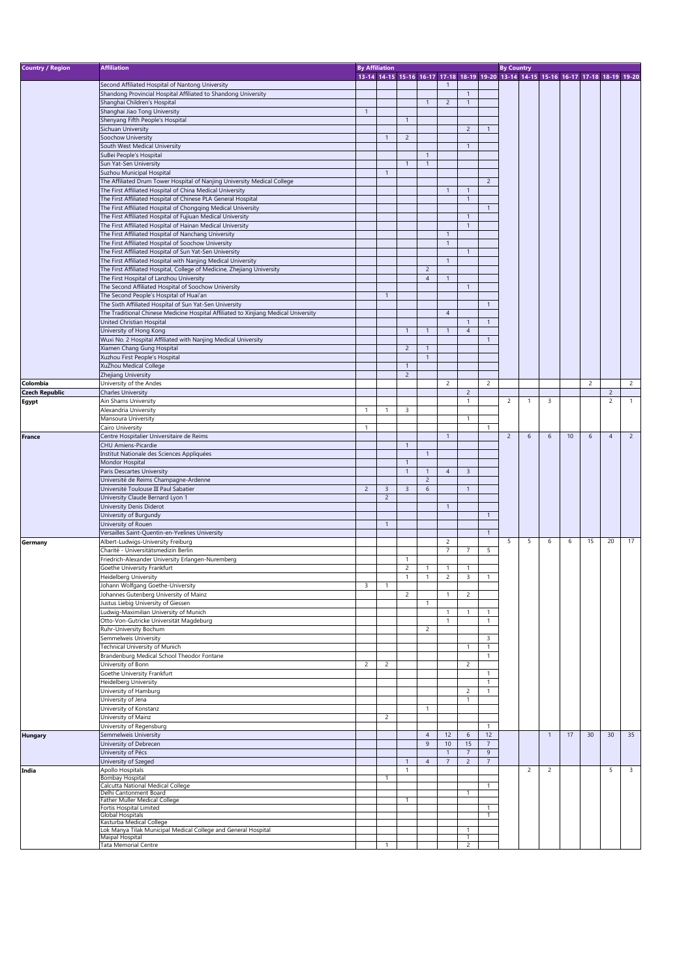| <b>Country / Region</b> | <b>Affiliation</b>                                                                  |                | <b>By Affiliation</b> |                |                                                                                     |                |                |                    | <b>By Country</b> |                |                |    |                |                |                |
|-------------------------|-------------------------------------------------------------------------------------|----------------|-----------------------|----------------|-------------------------------------------------------------------------------------|----------------|----------------|--------------------|-------------------|----------------|----------------|----|----------------|----------------|----------------|
|                         |                                                                                     |                |                       |                | 13-14 14-15 15-16 16-17 17-18 18-19 19-20 13-14 14-15 15-16 16-17 17-18 18-19 19-20 |                |                |                    |                   |                |                |    |                |                |                |
|                         | Second Affiliated Hospital of Nantong University                                    |                |                       |                |                                                                                     | $\mathbf{1}$   |                |                    |                   |                |                |    |                |                |                |
|                         | Shandong Provincial Hospital Affiliated to Shandong University                      |                |                       |                |                                                                                     |                | $\overline{1}$ |                    |                   |                |                |    |                |                |                |
|                         | Shanghai Children's Hospital                                                        |                |                       |                | $\overline{1}$                                                                      | $\overline{2}$ | $\overline{1}$ |                    |                   |                |                |    |                |                |                |
|                         | Shanghai Jiao Tong University                                                       | $\overline{1}$ |                       |                |                                                                                     |                |                |                    |                   |                |                |    |                |                |                |
|                         | Shenyang Fifth People's Hospital                                                    |                |                       | $\overline{1}$ |                                                                                     |                |                |                    |                   |                |                |    |                |                |                |
|                         | Sichuan University                                                                  |                |                       |                |                                                                                     |                | $\overline{2}$ | $\overline{1}$     |                   |                |                |    |                |                |                |
|                         | Soochow University                                                                  |                | $\mathbf{1}$          | $\overline{2}$ |                                                                                     |                |                |                    |                   |                |                |    |                |                |                |
|                         | South West Medical University                                                       |                |                       |                |                                                                                     |                | $\overline{1}$ |                    |                   |                |                |    |                |                |                |
|                         | SuBei People's Hospital                                                             |                |                       |                | $\mathbf{1}$                                                                        |                |                |                    |                   |                |                |    |                |                |                |
|                         | Sun Yat-Sen University                                                              |                |                       | $\overline{1}$ | $\mathbf{1}$                                                                        |                |                |                    |                   |                |                |    |                |                |                |
|                         | Suzhou Municipal Hospital                                                           |                | $\mathbf{1}$          |                |                                                                                     |                |                |                    |                   |                |                |    |                |                |                |
|                         | The Affiliated Drum Tower Hospital of Nanjing University Medical College            |                |                       |                |                                                                                     |                |                | $\overline{2}$     |                   |                |                |    |                |                |                |
|                         | The First Affiliated Hospital of China Medical University                           |                |                       |                |                                                                                     | $\mathbf{1}$   | $\overline{1}$ |                    |                   |                |                |    |                |                |                |
|                         | The First Affiliated Hospital of Chinese PLA General Hospital                       |                |                       |                |                                                                                     |                | $\overline{1}$ |                    |                   |                |                |    |                |                |                |
|                         | The First Affiliated Hospital of Chongqing Medical University                       |                |                       |                |                                                                                     |                |                | $\overline{1}$     |                   |                |                |    |                |                |                |
|                         | The First Affiliated Hospital of Fujiuan Medical University                         |                |                       |                |                                                                                     |                | $\overline{1}$ |                    |                   |                |                |    |                |                |                |
|                         | The First Affiliated Hospital of Hainan Medical University                          |                |                       |                |                                                                                     |                | $\overline{1}$ |                    |                   |                |                |    |                |                |                |
|                         | The First Affiliated Hospital of Nanchang University                                |                |                       |                |                                                                                     | $\overline{1}$ |                |                    |                   |                |                |    |                |                |                |
|                         | The First Affiliated Hospital of Soochow University                                 |                |                       |                |                                                                                     | $\mathbf{1}$   |                |                    |                   |                |                |    |                |                |                |
|                         | The First Affiliated Hospital of Sun Yat-Sen University                             |                |                       |                |                                                                                     |                | $\mathbf{1}$   |                    |                   |                |                |    |                |                |                |
|                         |                                                                                     |                |                       |                |                                                                                     |                |                |                    |                   |                |                |    |                |                |                |
|                         | The First Affiliated Hospital with Nanjing Medical University                       |                |                       |                |                                                                                     | $\mathbf{1}$   |                |                    |                   |                |                |    |                |                |                |
|                         | The First Affiliated Hospital, College of Medicine, Zhejiang University             |                |                       |                | $\overline{c}$                                                                      |                |                |                    |                   |                |                |    |                |                |                |
|                         | The First Hospital of Lanzhou University                                            |                |                       |                | $\overline{4}$                                                                      | $\mathbf{1}$   |                |                    |                   |                |                |    |                |                |                |
|                         | The Second Affiliated Hospital of Soochow University                                |                |                       |                |                                                                                     |                | $\overline{1}$ |                    |                   |                |                |    |                |                |                |
|                         | The Second People's Hospital of Huai'an                                             |                | $\mathbf{1}$          |                |                                                                                     |                |                |                    |                   |                |                |    |                |                |                |
|                         | The Sixth Affiliated Hospital of Sun Yat-Sen University                             |                |                       |                |                                                                                     |                |                | $\overline{1}$     |                   |                |                |    |                |                |                |
|                         | The Traditional Chinese Medicine Hospital Affiliated to Xinjiang Medical University |                |                       |                |                                                                                     | $\overline{4}$ |                |                    |                   |                |                |    |                |                |                |
|                         | United Christian Hospital                                                           |                |                       |                |                                                                                     |                | $\overline{1}$ | $\overline{1}$     |                   |                |                |    |                |                |                |
|                         | University of Hong Kong                                                             |                |                       | $\mathbf{1}$   | $\mathbf{1}$                                                                        | $\mathbf{1}$   | $\overline{4}$ |                    |                   |                |                |    |                |                |                |
|                         | Wuxi No. 2 Hospital Affiliated with Nanjing Medical University                      |                |                       |                |                                                                                     |                |                | $\overline{1}$     |                   |                |                |    |                |                |                |
|                         | Xiamen Chang Gung Hospital                                                          |                |                       | $\overline{2}$ | $\mathbf{1}$                                                                        |                |                |                    |                   |                |                |    |                |                |                |
|                         | Xuzhou First People's Hospital                                                      |                |                       |                | $\mathbf{1}$                                                                        |                |                |                    |                   |                |                |    |                |                |                |
|                         | XuZhou Medical College                                                              |                |                       | $\overline{1}$ |                                                                                     |                |                |                    |                   |                |                |    |                |                |                |
|                         | Zhejiang University                                                                 |                |                       | $\overline{2}$ |                                                                                     |                |                |                    |                   |                |                |    |                |                |                |
| Colombia                | University of the Andes                                                             |                |                       |                |                                                                                     | 2              |                | $\overline{2}$     |                   |                |                |    | $\overline{2}$ |                | 2              |
| <b>Czech Republic</b>   | <b>Charles University</b>                                                           |                |                       |                |                                                                                     |                | $\overline{2}$ |                    |                   |                |                |    |                | $\overline{2}$ |                |
| Egypt                   | Ain Shams University                                                                |                |                       |                |                                                                                     |                | $\overline{1}$ |                    | 2                 | $\mathbf{1}$   | 3              |    |                | 2              | 1              |
|                         | Alexandria University                                                               | $\mathbf{1}$   | 1                     | 3              |                                                                                     |                |                |                    |                   |                |                |    |                |                |                |
|                         | Mansoura University                                                                 |                |                       |                |                                                                                     |                | $\overline{1}$ |                    |                   |                |                |    |                |                |                |
|                         | Cairo University                                                                    | $\mathbf{1}$   |                       |                |                                                                                     |                |                | $\overline{1}$     |                   |                |                |    |                |                |                |
| <b>France</b>           | Centre Hospitalier Universitaire de Reims                                           |                |                       |                |                                                                                     | $\overline{1}$ |                |                    | $\overline{2}$    | 6              | 6              | 10 | 6              | $\overline{4}$ | $\overline{2}$ |
|                         | CHU Amiens-Picardie                                                                 |                |                       | $\overline{1}$ |                                                                                     |                |                |                    |                   |                |                |    |                |                |                |
|                         | Institut Nationale des Sciences Appliquées                                          |                |                       |                | $\mathbf{1}$                                                                        |                |                |                    |                   |                |                |    |                |                |                |
|                         | Mondor Hospital                                                                     |                |                       | 1              |                                                                                     |                |                |                    |                   |                |                |    |                |                |                |
|                         |                                                                                     |                |                       | $\mathbf{1}$   | $\mathbf{1}$                                                                        |                |                |                    |                   |                |                |    |                |                |                |
|                         | Paris Descartes University                                                          |                |                       |                |                                                                                     | $\overline{4}$ | $\overline{3}$ |                    |                   |                |                |    |                |                |                |
|                         | Université de Reims Champagne-Ardenne                                               |                |                       |                | $\overline{c}$                                                                      |                |                |                    |                   |                |                |    |                |                |                |
|                         | Université Toulouse III Paul Sabatier                                               | $\overline{c}$ | $\overline{3}$        | $\overline{3}$ | $\sqrt{6}$                                                                          |                | $\mathbf{1}$   |                    |                   |                |                |    |                |                |                |
|                         | University Claude Bernard Lyon 1                                                    |                | $\overline{c}$        |                |                                                                                     |                |                |                    |                   |                |                |    |                |                |                |
|                         | University Denis Diderot                                                            |                |                       |                |                                                                                     | $\overline{1}$ |                |                    |                   |                |                |    |                |                |                |
|                         | University of Burgundy                                                              |                |                       |                |                                                                                     |                |                | $\mathbf{1}$       |                   |                |                |    |                |                |                |
|                         | University of Rouen                                                                 |                | $\overline{1}$        |                |                                                                                     |                |                |                    |                   |                |                |    |                |                |                |
|                         | Versailles Saint-Quentin-en-Yvelines University                                     |                |                       |                |                                                                                     |                |                | $\overline{1}$     |                   |                |                |    |                |                |                |
| Germany                 | Albert-Ludwigs-University Freiburg                                                  |                |                       |                |                                                                                     | $\overline{c}$ |                |                    | 5                 | 5              | 6              | 6  | 15             | 20             | 17             |
|                         | Charité - Universitätsmedizin Berlin                                                |                |                       |                |                                                                                     | 7              | $\overline{7}$ | 5                  |                   |                |                |    |                |                |                |
|                         | Friedrich-Alexander University Erlangen-Nuremberg                                   |                |                       | $\mathbf{1}$   |                                                                                     |                |                |                    |                   |                |                |    |                |                |                |
|                         | Goethe University Frankfurt                                                         |                |                       | 2              | $\mathbf{1}$                                                                        | 1              | $\overline{1}$ |                    |                   |                |                |    |                |                |                |
|                         | Heidelberg University                                                               |                |                       | $\overline{1}$ | $\mathbf{1}$                                                                        | $\overline{c}$ | 3              | $\mathbf{1}$       |                   |                |                |    |                |                |                |
|                         | Johann Wolfgang Goethe-University                                                   | 3              | 1                     |                |                                                                                     |                |                |                    |                   |                |                |    |                |                |                |
|                         | Johannes Gutenberg University of Mainz                                              |                |                       | $\overline{2}$ |                                                                                     | $\mathbf{1}$   | $\overline{2}$ |                    |                   |                |                |    |                |                |                |
|                         | Justus Liebig University of Giessen                                                 |                |                       |                | $\mathbf{1}$                                                                        |                |                |                    |                   |                |                |    |                |                |                |
|                         | Ludwig-Maximilian University of Munich                                              |                |                       |                |                                                                                     | $\mathbf{1}$   | $\mathbf{1}$   | $\overline{1}$     |                   |                |                |    |                |                |                |
|                         | Otto-Von-Gutricke Universität Magdeburg                                             |                |                       |                |                                                                                     | $\mathbf{1}$   |                | $\mathbf{1}$       |                   |                |                |    |                |                |                |
|                         | Ruhr-University Bochum                                                              |                |                       |                | $\overline{2}$                                                                      |                |                |                    |                   |                |                |    |                |                |                |
|                         | Semmelweis University                                                               |                |                       |                |                                                                                     |                |                | 3                  |                   |                |                |    |                |                |                |
|                         | Technical University of Munich                                                      |                |                       |                |                                                                                     |                | $\mathbf{1}$   | $\overline{1}$     |                   |                |                |    |                |                |                |
|                         | Brandenburg Medical School Theodor Fontane                                          |                |                       |                |                                                                                     |                |                | $\mathbf{1}$       |                   |                |                |    |                |                |                |
|                         | University of Bonn                                                                  | $\overline{c}$ | $\overline{2}$        |                |                                                                                     |                | $\overline{c}$ |                    |                   |                |                |    |                |                |                |
|                         |                                                                                     |                |                       |                |                                                                                     |                |                | $\overline{1}$     |                   |                |                |    |                |                |                |
|                         | Goethe University Frankfurt                                                         |                |                       |                |                                                                                     |                |                |                    |                   |                |                |    |                |                |                |
|                         | <b>Heidelberg University</b>                                                        |                |                       |                |                                                                                     |                |                | $\mathbf{1}$       |                   |                |                |    |                |                |                |
|                         | University of Hamburg                                                               |                |                       |                |                                                                                     |                | $\overline{c}$ | $\mathbf{1}$       |                   |                |                |    |                |                |                |
|                         | University of Jena                                                                  |                |                       |                |                                                                                     |                | $\mathbf{1}$   |                    |                   |                |                |    |                |                |                |
|                         | University of Konstanz                                                              |                |                       |                | 1                                                                                   |                |                |                    |                   |                |                |    |                |                |                |
|                         | University of Mainz                                                                 |                | $\overline{2}$        |                |                                                                                     |                |                |                    |                   |                |                |    |                |                |                |
|                         | University of Regensburg                                                            |                |                       |                |                                                                                     |                |                | $\mathbf{1}$       |                   |                |                |    |                |                |                |
| <b>Hungary</b>          | Semmelweis University                                                               |                |                       |                | $\overline{4}$                                                                      | 12             | 6              | 12                 |                   |                | $\mathbf{1}$   | 17 | 30             | 30             | 35             |
|                         | University of Debrecen                                                              |                |                       |                | 9                                                                                   | $10$           | 15             | $\overline{7}$     |                   |                |                |    |                |                |                |
|                         | University of Pécs                                                                  |                |                       |                |                                                                                     | $\mathbf{1}$   | $\overline{7}$ | 9                  |                   |                |                |    |                |                |                |
|                         | University of Szeged                                                                |                |                       | $\mathbf{1}$   | $\overline{4}$                                                                      | $\overline{7}$ | $\overline{2}$ | $\overline{7}$     |                   |                |                |    |                |                |                |
| India                   | Apollo Hospitals                                                                    |                |                       | $\mathbf{1}$   |                                                                                     |                |                |                    |                   | $\overline{c}$ | $\overline{2}$ |    |                | 5              | 3              |
|                         | <b>Bombay Hospital</b>                                                              |                | $\mathbf{1}$          |                |                                                                                     |                |                |                    |                   |                |                |    |                |                |                |
|                         | Calcutta National Medical College                                                   |                |                       |                |                                                                                     |                |                | 1                  |                   |                |                |    |                |                |                |
|                         | Delhi Cantonment Board                                                              |                |                       |                |                                                                                     |                | 1              |                    |                   |                |                |    |                |                |                |
|                         | Father Muller Medical College                                                       |                |                       | 1              |                                                                                     |                |                |                    |                   |                |                |    |                |                |                |
|                         | Fortis Hospital Limited<br><b>Global Hospitals</b>                                  |                |                       |                |                                                                                     |                |                | -1<br>$\mathbf{1}$ |                   |                |                |    |                |                |                |
|                         | Kasturba Medical College                                                            |                |                       |                |                                                                                     |                |                |                    |                   |                |                |    |                |                |                |
|                         | Lok Manya Tilak Municipal Medical College and General Hospital                      |                |                       |                |                                                                                     |                | $\overline{1}$ |                    |                   |                |                |    |                |                |                |
|                         | Maipal Hospital                                                                     |                |                       |                |                                                                                     |                | $\mathbf{1}$   |                    |                   |                |                |    |                |                |                |
|                         | <b>Tata Memorial Centre</b>                                                         |                |                       |                |                                                                                     |                | $\overline{2}$ |                    |                   |                |                |    |                |                |                |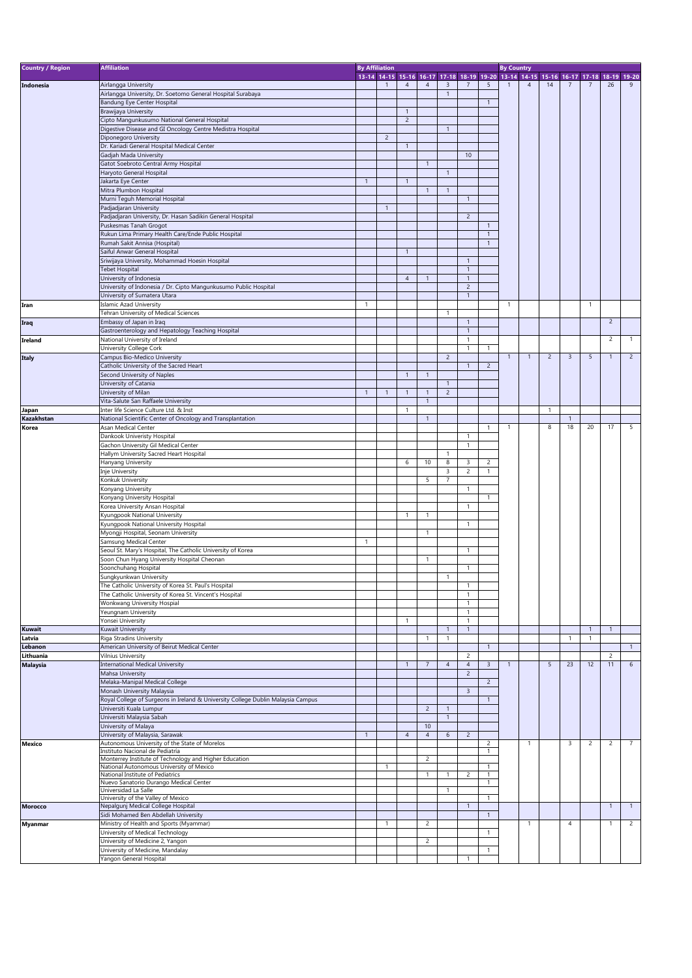| <b>Country / Region</b> | <b>Affiliation</b>                                                                                 |                | <b>By Affiliation</b> |                |                                                                                     |                |                              |                | <b>By Country</b> |                |                |                         |                |                      |                |
|-------------------------|----------------------------------------------------------------------------------------------------|----------------|-----------------------|----------------|-------------------------------------------------------------------------------------|----------------|------------------------------|----------------|-------------------|----------------|----------------|-------------------------|----------------|----------------------|----------------|
|                         |                                                                                                    |                |                       |                | 13-14 14-15 15-16 16-17 17-18 18-19 19-20 13-14 14-15 15-16 16-17 17-18 18-19 19-20 |                |                              |                |                   |                |                |                         |                |                      |                |
| Indonesia               | Airlangga University                                                                               |                | $\mathbf{1}$          | $\overline{4}$ | $\overline{4}$                                                                      | 3              | $\overline{7}$               | 5              |                   | $\overline{4}$ | 14             | 7                       |                | 26                   | 9              |
|                         | Airlangga University, Dr. Soetomo General Hospital Surabaya                                        |                |                       |                |                                                                                     | $\mathbf{1}$   |                              |                |                   |                |                |                         |                |                      |                |
|                         | Bandung Eye Center Hospital                                                                        |                |                       |                |                                                                                     |                |                              | $\overline{1}$ |                   |                |                |                         |                |                      |                |
|                         | Brawijaya University                                                                               |                |                       | $\overline{1}$ |                                                                                     |                |                              |                |                   |                |                |                         |                |                      |                |
|                         | Cipto Mangunkusumo National General Hospital                                                       |                |                       | $\overline{2}$ |                                                                                     |                |                              |                |                   |                |                |                         |                |                      |                |
|                         | Digestive Disease and GI Oncology Centre Medistra Hospital                                         |                |                       |                |                                                                                     | $\mathbf{1}$   |                              |                |                   |                |                |                         |                |                      |                |
|                         | Diponegoro University                                                                              |                | $\overline{2}$        |                |                                                                                     |                |                              |                |                   |                |                |                         |                |                      |                |
|                         | Dr. Kariadi General Hospital Medical Center<br>Gadjah Mada University                              |                |                       | $\mathbf{1}$   |                                                                                     |                | 10                           |                |                   |                |                |                         |                |                      |                |
|                         |                                                                                                    |                |                       |                | $\overline{1}$                                                                      |                |                              |                |                   |                |                |                         |                |                      |                |
|                         | Gatot Soebroto Central Army Hospital<br>Haryoto General Hospital                                   |                |                       |                |                                                                                     | $\mathbf{1}$   |                              |                |                   |                |                |                         |                |                      |                |
|                         | Jakarta Eye Center                                                                                 | $\overline{1}$ |                       | $\mathbf{1}$   |                                                                                     |                |                              |                |                   |                |                |                         |                |                      |                |
|                         | Mitra Plumbon Hospital                                                                             |                |                       |                | $\overline{1}$                                                                      | $\mathbf{1}$   |                              |                |                   |                |                |                         |                |                      |                |
|                         | Murni Teguh Memorial Hospital                                                                      |                |                       |                |                                                                                     |                | $\mathbf{1}$                 |                |                   |                |                |                         |                |                      |                |
|                         | Padjadjaran University                                                                             |                | $\mathbf{1}$          |                |                                                                                     |                |                              |                |                   |                |                |                         |                |                      |                |
|                         | Padjadjaran University, Dr. Hasan Sadikin General Hospital                                         |                |                       |                |                                                                                     |                | $\overline{2}$               |                |                   |                |                |                         |                |                      |                |
|                         | Puskesmas Tanah Grogot                                                                             |                |                       |                |                                                                                     |                |                              | $\mathbf{1}$   |                   |                |                |                         |                |                      |                |
|                         | Rukun Lima Primary Health Care/Ende Public Hospital                                                |                |                       |                |                                                                                     |                |                              | $\overline{1}$ |                   |                |                |                         |                |                      |                |
|                         | Rumah Sakit Annisa (Hospital)                                                                      |                |                       |                |                                                                                     |                |                              | $\mathbf{1}$   |                   |                |                |                         |                |                      |                |
|                         | Saiful Anwar General Hospital                                                                      |                |                       | $\mathbf{1}$   |                                                                                     |                |                              |                |                   |                |                |                         |                |                      |                |
|                         | Sriwijaya University, Mohammad Hoesin Hospital                                                     |                |                       |                |                                                                                     |                | $\mathbf{1}$                 |                |                   |                |                |                         |                |                      |                |
|                         | <b>Tebet Hospital</b>                                                                              |                |                       |                |                                                                                     |                | $\mathbf{1}$                 |                |                   |                |                |                         |                |                      |                |
|                         | University of Indonesia                                                                            |                |                       | $\overline{4}$ | $\mathbf{1}$                                                                        |                | $\mathbf{1}$                 |                |                   |                |                |                         |                |                      |                |
|                         | University of Indonesia / Dr. Cipto Mangunkusumo Public Hospital                                   |                |                       |                |                                                                                     |                | $\overline{c}$               |                |                   |                |                |                         |                |                      |                |
|                         | University of Sumatera Utara                                                                       |                |                       |                |                                                                                     |                | $\mathbf{1}$                 |                |                   |                |                |                         |                |                      |                |
| Iran                    | Islamic Azad University                                                                            | $\overline{1}$ |                       |                |                                                                                     |                |                              |                | $\overline{1}$    |                |                |                         | $\overline{1}$ |                      |                |
|                         | Tehran University of Medical Sciences                                                              |                |                       |                |                                                                                     | $\mathbf{1}$   |                              |                |                   |                |                |                         |                |                      |                |
| Iraq                    | Embassy of Japan in Iraq                                                                           |                |                       |                |                                                                                     |                | $\mathbf{1}$                 |                |                   |                |                |                         |                | $\overline{c}$       |                |
|                         | Gastroenterology and Hepatology Teaching Hospital                                                  |                |                       |                |                                                                                     |                | $\mathbf{1}$                 |                |                   |                |                |                         |                | $\overline{2}$       | $\mathbf{1}$   |
| Ireland                 | National University of Ireland                                                                     |                |                       |                |                                                                                     |                | $\mathbf{1}$<br>1            | $\mathbf{1}$   |                   |                |                |                         |                |                      |                |
|                         | University College Cork<br>Campus Bio-Medico University                                            |                |                       |                |                                                                                     | $\overline{c}$ |                              |                | $\mathbf{1}$      | $\overline{1}$ | $\overline{2}$ | $\overline{\mathbf{3}}$ | 5              | $\mathbf{1}$         | $\overline{2}$ |
| <b>Italy</b>            | Catholic University of the Sacred Heart                                                            |                |                       |                |                                                                                     |                | $\mathbf{1}$                 | $\overline{2}$ |                   |                |                |                         |                |                      |                |
|                         | Second University of Naples                                                                        |                |                       | $\overline{1}$ | $\overline{1}$                                                                      |                |                              |                |                   |                |                |                         |                |                      |                |
|                         | University of Catania                                                                              |                |                       |                |                                                                                     | $\mathbf{1}$   |                              |                |                   |                |                |                         |                |                      |                |
|                         | University of Milan                                                                                | $\overline{1}$ | $\mathbf{1}$          | $\mathbf{1}$   | $\overline{1}$                                                                      | $\overline{2}$ |                              |                |                   |                |                |                         |                |                      |                |
|                         | Vita-Salute San Raffaele University                                                                |                |                       |                | $\overline{1}$                                                                      |                |                              |                |                   |                |                |                         |                |                      |                |
| Japan                   | Inter life Science Culture Ltd. & Inst                                                             |                |                       | 1              |                                                                                     |                |                              |                |                   |                | $\mathbf{1}$   |                         |                |                      |                |
| Kazakhstan              | National Scientific Center of Oncology and Transplantation                                         |                |                       |                | $\overline{1}$                                                                      |                |                              |                |                   |                |                | $\mathbf{1}$            |                |                      |                |
| Korea                   | Asan Medical Center                                                                                |                |                       |                |                                                                                     |                |                              | $\overline{1}$ | $\mathbf{1}$      |                | 8              | 18                      | 20             | 17                   | 5              |
|                         | Dankook Univeristy Hospital                                                                        |                |                       |                |                                                                                     |                | $\mathbf{1}$                 |                |                   |                |                |                         |                |                      |                |
|                         | Gachon University Gil Medical Center                                                               |                |                       |                |                                                                                     |                | 1                            |                |                   |                |                |                         |                |                      |                |
|                         | Hallym University Sacred Heart Hospital                                                            |                |                       |                |                                                                                     | $\mathbf{1}$   |                              |                |                   |                |                |                         |                |                      |                |
|                         | Hanyang University                                                                                 |                |                       | 6              | 10                                                                                  | 8              | 3                            | 2              |                   |                |                |                         |                |                      |                |
|                         | Inje University                                                                                    |                |                       |                |                                                                                     | 3              | $\overline{c}$               | $\mathbf{1}$   |                   |                |                |                         |                |                      |                |
|                         | Konkuk University                                                                                  |                |                       |                | 5                                                                                   | 7              |                              |                |                   |                |                |                         |                |                      |                |
|                         | Konyang University                                                                                 |                |                       |                |                                                                                     |                | $\mathbf{1}$                 |                |                   |                |                |                         |                |                      |                |
|                         | Konyang University Hospital                                                                        |                |                       |                |                                                                                     |                |                              | $\overline{1}$ |                   |                |                |                         |                |                      |                |
|                         | Korea University Ansan Hospital<br>Kyungpook National University                                   |                |                       | 1              | $\mathbf{1}$                                                                        |                | 1                            |                |                   |                |                |                         |                |                      |                |
|                         | Kyungpook National University Hospital                                                             |                |                       |                |                                                                                     |                | $\mathbf{1}$                 |                |                   |                |                |                         |                |                      |                |
|                         | Myongji Hospital, Seonam University                                                                |                |                       |                | $\mathbf{1}$                                                                        |                |                              |                |                   |                |                |                         |                |                      |                |
|                         | Samsung Medical Center                                                                             | $\mathbf{1}$   |                       |                |                                                                                     |                |                              |                |                   |                |                |                         |                |                      |                |
|                         | Seoul St. Mary's Hospital, The Catholic University of Korea                                        |                |                       |                |                                                                                     |                | $\mathbf{1}$                 |                |                   |                |                |                         |                |                      |                |
|                         | Soon Chun Hyang University Hospital Cheonan                                                        |                |                       |                | $\mathbf{1}$                                                                        |                |                              |                |                   |                |                |                         |                |                      |                |
|                         | Soonchuhang Hospital                                                                               |                |                       |                |                                                                                     |                | $\mathbf{1}$                 |                |                   |                |                |                         |                |                      |                |
|                         | Sungkyunkwan University                                                                            |                |                       |                |                                                                                     | 1              |                              |                |                   |                |                |                         |                |                      |                |
|                         | The Catholic University of Korea St. Paul's Hospital                                               |                |                       |                |                                                                                     |                | 1                            |                |                   |                |                |                         |                |                      |                |
|                         | The Catholic University of Korea St. Vincent's Hospital                                            |                |                       |                |                                                                                     |                | $\mathbf{1}$                 |                |                   |                |                |                         |                |                      |                |
|                         | Wonkwang University Hospial                                                                        |                |                       |                |                                                                                     |                | $\mathbf{1}$                 |                |                   |                |                |                         |                |                      |                |
|                         | Yeungnam University                                                                                |                |                       |                |                                                                                     |                | $\mathbf{1}$                 |                |                   |                |                |                         |                |                      |                |
|                         | Yonsei University                                                                                  |                |                       | $\mathbf{1}$   |                                                                                     |                | $\mathbf{1}$                 |                |                   |                |                |                         |                |                      |                |
| <b>Kuwait</b>           | Kuwait University                                                                                  |                |                       |                |                                                                                     | $\mathbf{1}$   | $\mathbf{1}$                 |                |                   |                |                |                         | $\mathbf{1}$   | $\mathbf{1}$         |                |
| Latvia                  | Riga Stradins University                                                                           |                |                       |                | $\mathbf{1}$                                                                        | $\mathbf{1}$   |                              |                |                   |                |                | $\overline{1}$          | $\mathbf{1}$   |                      |                |
| Lebanon                 | American University of Beirut Medical Center                                                       |                |                       |                |                                                                                     |                |                              | $\overline{1}$ |                   |                |                |                         |                |                      | $\mathbf{1}$   |
| Lithuania               | <b>Vilnius University</b><br><b>International Medical University</b>                               |                |                       | $\mathbf{1}$   | $\overline{7}$                                                                      |                | $\overline{c}$               |                | $\mathbf{1}$      |                | 5              | 23                      | 12             | $\overline{2}$<br>11 | 6              |
| <b>Malaysia</b>         | Mahsa University                                                                                   |                |                       |                |                                                                                     | $\overline{4}$ | $\sqrt{4}$<br>$\overline{c}$ | $\overline{3}$ |                   |                |                |                         |                |                      |                |
|                         | Melaka-Manipal Medical College                                                                     |                |                       |                |                                                                                     |                |                              | $\overline{2}$ |                   |                |                |                         |                |                      |                |
|                         | Monash University Malaysia                                                                         |                |                       |                |                                                                                     |                | $\overline{3}$               |                |                   |                |                |                         |                |                      |                |
|                         | Royal College of Surgeons in Ireland & University College Dublin Malaysia Campus                   |                |                       |                |                                                                                     |                |                              | $\overline{1}$ |                   |                |                |                         |                |                      |                |
|                         | Universiti Kuala Lumpur                                                                            |                |                       |                | $\overline{2}$                                                                      | $\mathbf{1}$   |                              |                |                   |                |                |                         |                |                      |                |
|                         | Universiti Malaysia Sabah                                                                          |                |                       |                |                                                                                     | $\mathbf{1}$   |                              |                |                   |                |                |                         |                |                      |                |
|                         | University of Malaya                                                                               |                |                       |                | 10                                                                                  |                |                              |                |                   |                |                |                         |                |                      |                |
|                         | University of Malaysia, Sarawak                                                                    | $\overline{1}$ |                       | $\overline{4}$ | $\overline{4}$                                                                      | 6              | $\overline{2}$               |                |                   |                |                |                         |                |                      |                |
| Mexico                  | Autonomous University of the State of Morelos                                                      |                |                       |                |                                                                                     |                |                              | $\overline{c}$ |                   | $\overline{1}$ |                | 3                       | $\overline{c}$ | $\overline{2}$       | $\overline{7}$ |
|                         | Instituto Nacional de Pediatría                                                                    |                |                       |                |                                                                                     |                |                              | $\mathbf{1}$   |                   |                |                |                         |                |                      |                |
|                         | Monterrey Institute of Technology and Higher Education<br>National Autonomous University of Mexico |                | 1                     |                | $\overline{c}$                                                                      |                |                              | $\mathbf{1}$   |                   |                |                |                         |                |                      |                |
|                         | National Institute of Pediatrics                                                                   |                |                       |                | $\overline{1}$                                                                      | $\mathbf{1}$   | $\overline{c}$               | $\mathbf{1}$   |                   |                |                |                         |                |                      |                |
|                         | Nuevo Sanatorio Durango Medical Center                                                             |                |                       |                |                                                                                     |                |                              | 1              |                   |                |                |                         |                |                      |                |
|                         | Universidad La Salle                                                                               |                |                       |                |                                                                                     | 1              |                              |                |                   |                |                |                         |                |                      |                |
|                         | University of the Valley of Mexico                                                                 |                |                       |                |                                                                                     |                |                              | $\overline{1}$ |                   |                |                |                         |                |                      |                |
| <b>Morocco</b>          | Nepalgunj Medical College Hospital                                                                 |                |                       |                |                                                                                     |                | $\mathbf{1}$                 |                |                   |                |                |                         |                | $\mathbf{1}$         | $\mathbf{1}$   |
|                         | Sidi Mohamed Ben Abdellah University                                                               |                |                       |                |                                                                                     |                |                              | $\overline{1}$ |                   |                |                |                         |                |                      |                |
| <b>Myanmar</b>          | Ministry of Health and Sports (Myammar)                                                            |                | $\mathbf{1}$          |                | $\overline{2}$                                                                      |                |                              |                |                   | $\overline{1}$ |                | $\overline{4}$          |                | $\overline{1}$       | $\overline{2}$ |
|                         | University of Medical Technology                                                                   |                |                       |                | $\overline{2}$                                                                      |                |                              | $\mathbf{1}$   |                   |                |                |                         |                |                      |                |
|                         | University of Medicine 2, Yangon                                                                   |                |                       |                |                                                                                     |                |                              |                |                   |                |                |                         |                |                      |                |
|                         | University of Medicine, Mandalay<br>Yangon General Hospital                                        |                |                       |                |                                                                                     |                | $\mathbf{1}$                 | $\overline{1}$ |                   |                |                |                         |                |                      |                |
|                         |                                                                                                    |                |                       |                |                                                                                     |                |                              |                |                   |                |                |                         |                |                      |                |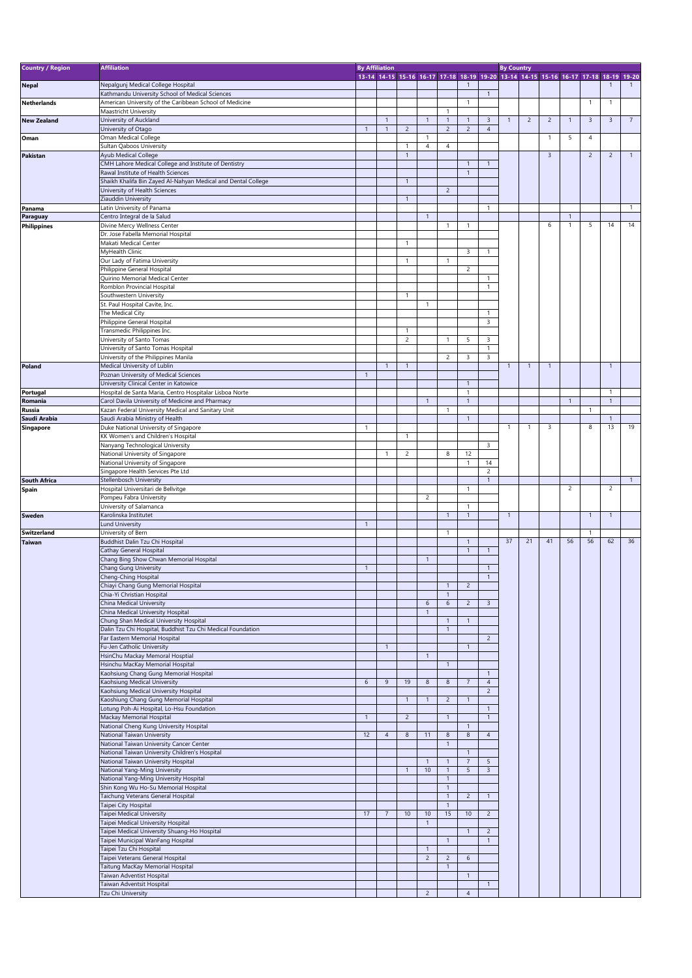| <b>Country / Region</b> | <b>Affiliation</b>                                                                  | <b>By Affiliation</b> |                |                |                    |                                  |                              |                                           | <b>By Country</b> |                |                                                                                     |                |                |                |                |
|-------------------------|-------------------------------------------------------------------------------------|-----------------------|----------------|----------------|--------------------|----------------------------------|------------------------------|-------------------------------------------|-------------------|----------------|-------------------------------------------------------------------------------------|----------------|----------------|----------------|----------------|
|                         |                                                                                     |                       |                |                |                    |                                  |                              |                                           |                   |                | 13-14 14-15 15-16 16-17 17-18 18-19 19-20 13-14 14-15 15-16 16-17 17-18 18-19 19-20 |                |                |                |                |
| <b>Nepal</b>            | Nepalgunj Medical College Hospital                                                  |                       |                |                |                    |                                  | $\mathbf{1}$                 |                                           |                   |                |                                                                                     |                |                |                |                |
|                         | Kathmandu University School of Medical Sciences                                     |                       |                |                |                    |                                  |                              | $\overline{1}$                            |                   |                |                                                                                     |                |                |                |                |
| <b>Netherlands</b>      | American University of the Caribbean School of Medicine<br>Maastricht University    |                       |                |                |                    | $\overline{1}$                   | $\mathbf{1}$                 |                                           |                   |                |                                                                                     |                | $\overline{1}$ | $\mathbf{1}$   |                |
| <b>New Zealand</b>      | University of Auckland                                                              |                       | $\overline{1}$ |                | $\mathbf{1}$       | $\mathbf{1}$                     | $\mathbf{1}$                 | $\overline{3}$                            | $\mathbf{1}$      | $\overline{c}$ | $\overline{2}$                                                                      | $\mathbf{1}$   | $\overline{3}$ | $\overline{3}$ | $\overline{7}$ |
|                         | University of Otago                                                                 | $\overline{1}$        | $\mathbf{1}$   | $\overline{2}$ |                    | $\overline{2}$                   | $\overline{2}$               | $\overline{4}$                            |                   |                |                                                                                     |                |                |                |                |
| Oman                    | Oman Medical College                                                                |                       |                |                | 1                  |                                  |                              |                                           |                   |                | $\mathbf{1}$                                                                        | 5              | $\overline{4}$ |                |                |
|                         | Sultan Qaboos University                                                            |                       |                | $\mathbf{1}$   | $\overline{4}$     | $\overline{4}$                   |                              |                                           |                   |                |                                                                                     |                |                |                |                |
| <b>Pakistan</b>         | Ayub Medical College                                                                |                       |                | $\mathbf{1}$   |                    |                                  |                              |                                           |                   |                | 3                                                                                   |                | $\overline{2}$ | $\overline{2}$ | $\mathbf{1}$   |
|                         | CMH Lahore Medical College and Institute of Dentistry                               |                       |                |                |                    |                                  | $\overline{1}$               | $\overline{1}$                            |                   |                |                                                                                     |                |                |                |                |
|                         | Rawal Institute of Health Sciences                                                  |                       |                |                |                    |                                  | $\mathbf{1}$                 |                                           |                   |                |                                                                                     |                |                |                |                |
|                         | Shaikh Khalifa Bin Zayed Al-Nahyan Medical and Dental College                       |                       |                | $\mathbf{1}$   |                    |                                  |                              |                                           |                   |                |                                                                                     |                |                |                |                |
|                         | University of Health Sciences                                                       |                       |                |                |                    | $\overline{2}$                   |                              |                                           |                   |                |                                                                                     |                |                |                |                |
|                         | Ziauddin University                                                                 |                       |                | $\mathbf{1}$   |                    |                                  |                              |                                           |                   |                |                                                                                     |                |                |                |                |
| Panama                  | Latin University of Panama<br>Centro Integral de la Salud                           |                       |                |                | $\mathbf{1}$       |                                  |                              | $\overline{1}$                            |                   |                |                                                                                     | $\mathbf{1}$   |                |                | $\mathbf{1}$   |
| Paraguay                | Divine Mercy Wellness Center                                                        |                       |                |                |                    | $\overline{1}$                   | 1                            |                                           |                   |                | 6                                                                                   | $\overline{1}$ | 5              | 14             | 14             |
| <b>Philippines</b>      | Dr. Jose Fabella Memorial Hospital                                                  |                       |                |                |                    |                                  |                              |                                           |                   |                |                                                                                     |                |                |                |                |
|                         | Makati Medical Center                                                               |                       |                | $\mathbf{1}$   |                    |                                  |                              |                                           |                   |                |                                                                                     |                |                |                |                |
|                         | MyHealth Clinic                                                                     |                       |                |                |                    |                                  | 3                            | $\mathbf{1}$                              |                   |                |                                                                                     |                |                |                |                |
|                         | Our Lady of Fatima University                                                       |                       |                | $\mathbf{1}$   |                    | $\overline{1}$                   |                              |                                           |                   |                |                                                                                     |                |                |                |                |
|                         | Philippine General Hospital                                                         |                       |                |                |                    |                                  | $\overline{2}$               |                                           |                   |                |                                                                                     |                |                |                |                |
|                         | Quirino Memorial Medical Center                                                     |                       |                |                |                    |                                  |                              | $\mathbf{1}$                              |                   |                |                                                                                     |                |                |                |                |
|                         | Romblon Provincial Hospital                                                         |                       |                |                |                    |                                  |                              | $\overline{1}$                            |                   |                |                                                                                     |                |                |                |                |
|                         | Southwestern University                                                             |                       |                | $\mathbf{1}$   |                    |                                  |                              |                                           |                   |                |                                                                                     |                |                |                |                |
|                         | St. Paul Hospital Cavite, Inc.                                                      |                       |                |                | $\mathbf{1}$       |                                  |                              |                                           |                   |                |                                                                                     |                |                |                |                |
|                         | The Medical City                                                                    |                       |                |                |                    |                                  |                              | $\mathbf{1}$                              |                   |                |                                                                                     |                |                |                |                |
|                         | Philippine General Hospital                                                         |                       |                |                |                    |                                  |                              | 3                                         |                   |                |                                                                                     |                |                |                |                |
|                         | Transmedic Philippines Inc.                                                         |                       |                | $\mathbf{1}$   |                    |                                  |                              |                                           |                   |                |                                                                                     |                |                |                |                |
|                         | University of Santo Tomas                                                           |                       |                | $\overline{c}$ |                    | $\overline{1}$                   | 5                            | $\overline{\mathbf{3}}$<br>$\overline{1}$ |                   |                |                                                                                     |                |                |                |                |
|                         | University of Santo Tomas Hospital<br>University of the Philippines Manila          |                       |                |                |                    | 2                                | 3                            | 3                                         |                   |                |                                                                                     |                |                |                |                |
| Poland                  | Medical University of Lublin                                                        |                       | $\overline{1}$ | $\overline{1}$ |                    |                                  |                              |                                           | $\overline{1}$    | $\overline{1}$ | $\mathbf{1}$                                                                        |                |                | $\mathbf{1}$   |                |
|                         | Poznan University of Medical Sciences                                               | $\overline{1}$        |                |                |                    |                                  |                              |                                           |                   |                |                                                                                     |                |                |                |                |
|                         | University Clinical Center in Katowice                                              |                       |                |                |                    |                                  | $\overline{1}$               |                                           |                   |                |                                                                                     |                |                |                |                |
| Portugal                | Hospital de Santa Maria, Centro Hospitalar Lisboa Norte                             |                       |                |                |                    |                                  | $\mathbf{1}$                 |                                           |                   |                |                                                                                     |                |                | $\mathbf{1}$   |                |
| Romania                 | Carol Davila University of Medicine and Pharmacy                                    |                       |                |                | $\mathbf{1}$       |                                  | $\mathbf{1}$                 |                                           |                   |                |                                                                                     | $\overline{1}$ |                | $\mathbf{1}$   |                |
| Russia                  | Kazan Federal University Medical and Sanitary Unit                                  |                       |                |                |                    | 1                                |                              |                                           |                   |                |                                                                                     |                | -1             |                |                |
| Saudi Arabia            | Saudi Arabia Ministry of Health                                                     |                       |                |                |                    |                                  | $\mathbf{1}$                 |                                           |                   |                |                                                                                     |                |                | $\overline{1}$ |                |
| Singapore               | Duke National University of Singapore                                               | 1                     |                |                |                    |                                  |                              |                                           | $\mathbf{1}$      | -1             | 3                                                                                   |                | 8              | 13             | 19             |
|                         | KK Women's and Children's Hospital                                                  |                       |                | $\mathbf{1}$   |                    |                                  |                              |                                           |                   |                |                                                                                     |                |                |                |                |
|                         | Nanyang Technological University                                                    |                       |                |                |                    |                                  |                              | $\overline{3}$                            |                   |                |                                                                                     |                |                |                |                |
|                         | National University of Singapore                                                    |                       | $\mathbf{1}$   | $\overline{c}$ |                    | 8                                | 12                           |                                           |                   |                |                                                                                     |                |                |                |                |
|                         | National University of Singapore                                                    |                       |                |                |                    |                                  | $\mathbf{1}$                 | 14                                        |                   |                |                                                                                     |                |                |                |                |
|                         | Singapore Health Services Pte Ltd                                                   |                       |                |                |                    |                                  |                              | $\overline{c}$                            |                   |                |                                                                                     |                |                |                |                |
| <b>South Africa</b>     | Stellenbosch University                                                             |                       |                |                |                    |                                  |                              | $\overline{1}$                            |                   |                |                                                                                     |                |                |                | $\overline{1}$ |
| Spain                   | Hospital Universitari de Bellvitge                                                  |                       |                |                |                    |                                  | $\mathbf{1}$                 |                                           |                   |                |                                                                                     | $\overline{c}$ |                | $\overline{2}$ |                |
|                         |                                                                                     |                       |                |                | $\overline{c}$     |                                  |                              |                                           |                   |                |                                                                                     |                |                |                |                |
|                         | Pompeu Fabra University                                                             |                       |                |                |                    |                                  |                              |                                           |                   |                |                                                                                     |                |                |                |                |
|                         | University of Salamanca                                                             |                       |                |                |                    |                                  | 1                            |                                           |                   |                |                                                                                     |                |                |                |                |
| Sweden                  | Karolinska Institutet                                                               |                       |                |                |                    | $\mathbf{1}$                     | $\mathbf{1}$                 |                                           | $\overline{1}$    |                |                                                                                     |                | $\overline{1}$ | $\mathbf{1}$   |                |
|                         | <b>Lund University</b>                                                              | $\overline{1}$        |                |                |                    |                                  |                              |                                           |                   |                |                                                                                     |                |                |                |                |
| <b>Switzerland</b>      | University of Bern                                                                  |                       |                |                |                    | $\overline{1}$                   |                              |                                           | 37                | 21             | 41                                                                                  | 56             | -1<br>56       | 62             | 36             |
| <b>Taiwan</b>           | Buddhist Dalin Tzu Chi Hospital                                                     |                       |                |                |                    |                                  | $\mathbf{1}$<br>$\mathbf{1}$ | $\overline{1}$                            |                   |                |                                                                                     |                |                |                |                |
|                         | Cathay General Hospital<br>Chang Bing Show Chwan Memorial Hospital                  |                       |                |                | $\mathbf{1}$       |                                  |                              |                                           |                   |                |                                                                                     |                |                |                |                |
|                         | Chang Gung University                                                               | $\overline{1}$        |                |                |                    |                                  |                              | $\overline{1}$                            |                   |                |                                                                                     |                |                |                |                |
|                         | Cheng-Ching Hospital                                                                |                       |                |                |                    |                                  |                              | $\overline{1}$                            |                   |                |                                                                                     |                |                |                |                |
|                         | Chiayi Chang Gung Memorial Hospital                                                 |                       |                |                |                    | $\mathbf{1}$                     | $\overline{2}$               |                                           |                   |                |                                                                                     |                |                |                |                |
|                         | Chia-Yi Christian Hospital                                                          |                       |                |                |                    | $\mathbf{1}$                     |                              |                                           |                   |                |                                                                                     |                |                |                |                |
|                         | China Medical University                                                            |                       |                |                | $\boldsymbol{6}$   | 6                                | $\overline{2}$               | $\overline{3}$                            |                   |                |                                                                                     |                |                |                |                |
|                         | China Medical University Hospital                                                   |                       |                |                |                    |                                  |                              |                                           |                   |                |                                                                                     |                |                |                |                |
|                         | Chung Shan Medical University Hospital                                              |                       |                |                |                    | $\mathbf{1}$                     | $\mathbf{1}$                 |                                           |                   |                |                                                                                     |                |                |                |                |
|                         | Dalin Tzu Chi Hospital, Buddhist Tzu Chi Medical Foundation                         |                       |                |                |                    | $\mathbf{1}$                     |                              |                                           |                   |                |                                                                                     |                |                |                |                |
|                         | Far Eastern Memorial Hospital                                                       |                       |                |                |                    |                                  |                              | $\overline{2}$                            |                   |                |                                                                                     |                |                |                |                |
|                         | Fu-Jen Catholic University                                                          |                       | $\mathbf{1}$   |                |                    |                                  | $\mathbf{1}$                 |                                           |                   |                |                                                                                     |                |                |                |                |
|                         | HsinChu Mackay Memoral Hosptial                                                     |                       |                |                | $\mathbf{1}$       |                                  |                              |                                           |                   |                |                                                                                     |                |                |                |                |
|                         | Hsinchu MacKay Memorial Hospital                                                    |                       |                |                |                    | $\overline{1}$                   |                              | $\overline{1}$                            |                   |                |                                                                                     |                |                |                |                |
|                         | Kaohsiung Chang Gung Memorial Hospital<br>Kaohsiung Medical University              | 6                     | 9              | 19             | $\bf 8$            | $\boldsymbol{8}$                 | $\overline{7}$               | $\overline{4}$                            |                   |                |                                                                                     |                |                |                |                |
|                         | Kaohsiung Medical University Hospital                                               |                       |                |                |                    |                                  |                              | $\overline{c}$                            |                   |                |                                                                                     |                |                |                |                |
|                         |                                                                                     |                       |                | $\mathbf{1}$   | $\mathbf{1}$       | $\overline{c}$                   | $\overline{1}$               |                                           |                   |                |                                                                                     |                |                |                |                |
|                         | Kaoshiung Chang Gung Memorial Hospital<br>Lotung Poh-Ai Hospital, Lo-Hsu Foundation |                       |                |                |                    |                                  |                              | $\mathbf{1}$                              |                   |                |                                                                                     |                |                |                |                |
|                         | Mackay Memorial Hospital                                                            | $\overline{1}$        |                | $\overline{c}$ |                    | $\mathbf{1}$                     |                              | $\mathbf{1}$                              |                   |                |                                                                                     |                |                |                |                |
|                         | National Cheng Kung University Hospital                                             |                       |                |                |                    |                                  | $\mathbf{1}$                 |                                           |                   |                |                                                                                     |                |                |                |                |
|                         | National Taiwan University                                                          | 12                    | $\overline{4}$ | 8              | 11                 | 8                                | 8                            | $\overline{4}$                            |                   |                |                                                                                     |                |                |                |                |
|                         | National Taiwan University Cancer Center                                            |                       |                |                |                    | $\mathbf{1}$                     |                              |                                           |                   |                |                                                                                     |                |                |                |                |
|                         | National Taiwan University Children's Hospital                                      |                       |                |                |                    |                                  | $\mathbf{1}$                 |                                           |                   |                |                                                                                     |                |                |                |                |
|                         | National Taiwan University Hospital                                                 |                       |                |                | $\mathbf{1}$       | $\overline{1}$                   | $\overline{7}$               | 5                                         |                   |                |                                                                                     |                |                |                |                |
|                         | National Yang-Ming University                                                       |                       |                | $\overline{1}$ | 10                 | $\overline{1}$                   | 5                            | $\overline{3}$                            |                   |                |                                                                                     |                |                |                |                |
|                         | National Yang-Ming University Hospital                                              |                       |                |                |                    | $\mathbf{1}$                     |                              |                                           |                   |                |                                                                                     |                |                |                |                |
|                         | Shin Kong Wu Ho-Su Memorial Hospital                                                |                       |                |                |                    | $\overline{1}$                   |                              |                                           |                   |                |                                                                                     |                |                |                |                |
|                         | Taichung Veterans General Hospital                                                  |                       |                |                |                    | $\overline{1}$<br>$\overline{1}$ | $\overline{c}$               | $\overline{1}$                            |                   |                |                                                                                     |                |                |                |                |
|                         | Taipei City Hospital                                                                | 17                    | $\overline{7}$ |                |                    |                                  |                              |                                           |                   |                |                                                                                     |                |                |                |                |
|                         | Taipei Medical University                                                           |                       |                | 10             | 10<br>$\mathbf{1}$ | 15                               | 10 <sup>°</sup>              | $\overline{2}$                            |                   |                |                                                                                     |                |                |                |                |
|                         | Taipei Medical University Hospital<br>Taipei Medical University Shuang-Ho Hospital  |                       |                |                |                    |                                  | $\mathbf{1}$                 | $\overline{2}$                            |                   |                |                                                                                     |                |                |                |                |
|                         | Taipei Municipal WanFang Hospital                                                   |                       |                |                |                    | $\overline{1}$                   |                              | $\mathbf{1}$                              |                   |                |                                                                                     |                |                |                |                |
|                         | Taipei Tzu Chi Hospital                                                             |                       |                |                |                    |                                  |                              |                                           |                   |                |                                                                                     |                |                |                |                |
|                         | Taipei Veterans General Hospital                                                    |                       |                |                | $\overline{c}$     | $\overline{c}$                   | 6                            |                                           |                   |                |                                                                                     |                |                |                |                |
|                         | Taitung MacKay Memorial Hospital                                                    |                       |                |                |                    | $\overline{1}$                   |                              |                                           |                   |                |                                                                                     |                |                |                |                |
|                         | Taiwan Adventist Hospital                                                           |                       |                |                |                    |                                  | $\mathbf{1}$                 |                                           |                   |                |                                                                                     |                |                |                |                |
|                         | Taiwan Adventsit Hospital<br>Tzu Chi University                                     |                       |                |                | $\overline{c}$     |                                  | $\overline{4}$               | $\overline{1}$                            |                   |                |                                                                                     |                |                |                |                |